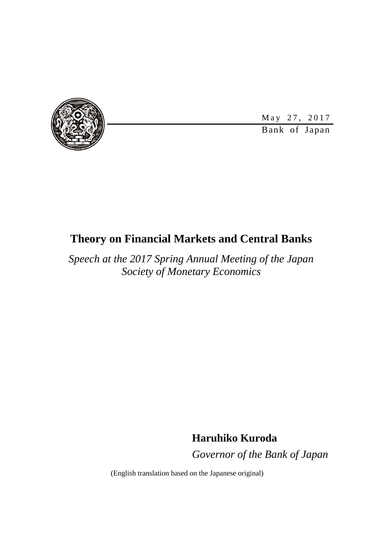

Bank of Japan May 27, 2017

# **Theory on Financial Markets and Central Banks**

*Speech at the 2017 Spring Annual Meeting of the Japan Society of Monetary Economics*

## **Haruhiko Kuroda**

*Governor of the Bank of Japan*

(English translation based on the Japanese original)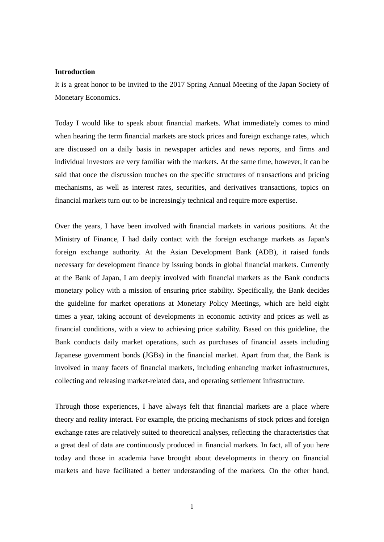#### **Introduction**

It is a great honor to be invited to the 2017 Spring Annual Meeting of the Japan Society of Monetary Economics.

Today I would like to speak about financial markets. What immediately comes to mind when hearing the term financial markets are stock prices and foreign exchange rates, which are discussed on a daily basis in newspaper articles and news reports, and firms and individual investors are very familiar with the markets. At the same time, however, it can be said that once the discussion touches on the specific structures of transactions and pricing mechanisms, as well as interest rates, securities, and derivatives transactions, topics on financial markets turn out to be increasingly technical and require more expertise.

Over the years, I have been involved with financial markets in various positions. At the Ministry of Finance, I had daily contact with the foreign exchange markets as Japan's foreign exchange authority. At the Asian Development Bank (ADB), it raised funds necessary for development finance by issuing bonds in global financial markets. Currently at the Bank of Japan, I am deeply involved with financial markets as the Bank conducts monetary policy with a mission of ensuring price stability. Specifically, the Bank decides the guideline for market operations at Monetary Policy Meetings, which are held eight times a year, taking account of developments in economic activity and prices as well as financial conditions, with a view to achieving price stability. Based on this guideline, the Bank conducts daily market operations, such as purchases of financial assets including Japanese government bonds (JGBs) in the financial market. Apart from that, the Bank is involved in many facets of financial markets, including enhancing market infrastructures, collecting and releasing market-related data, and operating settlement infrastructure.

Through those experiences, I have always felt that financial markets are a place where theory and reality interact. For example, the pricing mechanisms of stock prices and foreign exchange rates are relatively suited to theoretical analyses, reflecting the characteristics that a great deal of data are continuously produced in financial markets. In fact, all of you here today and those in academia have brought about developments in theory on financial markets and have facilitated a better understanding of the markets. On the other hand,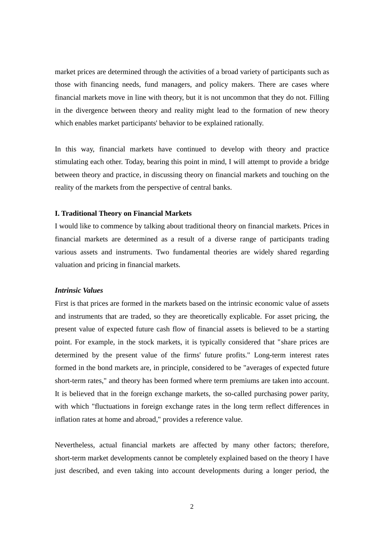market prices are determined through the activities of a broad variety of participants such as those with financing needs, fund managers, and policy makers. There are cases where financial markets move in line with theory, but it is not uncommon that they do not. Filling in the divergence between theory and reality might lead to the formation of new theory which enables market participants' behavior to be explained rationally.

In this way, financial markets have continued to develop with theory and practice stimulating each other. Today, bearing this point in mind, I will attempt to provide a bridge between theory and practice, in discussing theory on financial markets and touching on the reality of the markets from the perspective of central banks.

#### **I. Traditional Theory on Financial Markets**

I would like to commence by talking about traditional theory on financial markets. Prices in financial markets are determined as a result of a diverse range of participants trading various assets and instruments. Two fundamental theories are widely shared regarding valuation and pricing in financial markets.

#### *Intrinsic Values*

First is that prices are formed in the markets based on the intrinsic economic value of assets and instruments that are traded, so they are theoretically explicable. For asset pricing, the present value of expected future cash flow of financial assets is believed to be a starting point. For example, in the stock markets, it is typically considered that "share prices are determined by the present value of the firms' future profits." Long-term interest rates formed in the bond markets are, in principle, considered to be "averages of expected future short-term rates," and theory has been formed where term premiums are taken into account. It is believed that in the foreign exchange markets, the so-called purchasing power parity, with which "fluctuations in foreign exchange rates in the long term reflect differences in inflation rates at home and abroad," provides a reference value.

Nevertheless, actual financial markets are affected by many other factors; therefore, short-term market developments cannot be completely explained based on the theory I have just described, and even taking into account developments during a longer period, the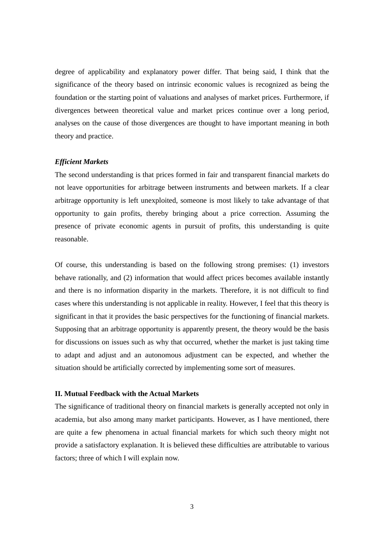degree of applicability and explanatory power differ. That being said, I think that the significance of the theory based on intrinsic economic values is recognized as being the foundation or the starting point of valuations and analyses of market prices. Furthermore, if divergences between theoretical value and market prices continue over a long period, analyses on the cause of those divergences are thought to have important meaning in both theory and practice.

## *Efficient Markets*

The second understanding is that prices formed in fair and transparent financial markets do not leave opportunities for arbitrage between instruments and between markets. If a clear arbitrage opportunity is left unexploited, someone is most likely to take advantage of that opportunity to gain profits, thereby bringing about a price correction. Assuming the presence of private economic agents in pursuit of profits, this understanding is quite reasonable.

Of course, this understanding is based on the following strong premises: (1) investors behave rationally, and (2) information that would affect prices becomes available instantly and there is no information disparity in the markets. Therefore, it is not difficult to find cases where this understanding is not applicable in reality. However, I feel that this theory is significant in that it provides the basic perspectives for the functioning of financial markets. Supposing that an arbitrage opportunity is apparently present, the theory would be the basis for discussions on issues such as why that occurred, whether the market is just taking time to adapt and adjust and an autonomous adjustment can be expected, and whether the situation should be artificially corrected by implementing some sort of measures.

## **II. Mutual Feedback with the Actual Markets**

The significance of traditional theory on financial markets is generally accepted not only in academia, but also among many market participants. However, as I have mentioned, there are quite a few phenomena in actual financial markets for which such theory might not provide a satisfactory explanation. It is believed these difficulties are attributable to various factors; three of which I will explain now.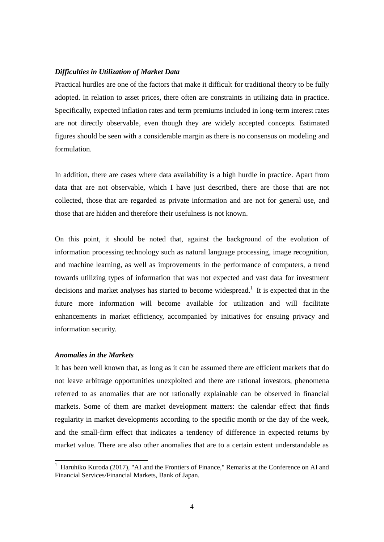## *Difficulties in Utilization of Market Data*

Practical hurdles are one of the factors that make it difficult for traditional theory to be fully adopted. In relation to asset prices, there often are constraints in utilizing data in practice. Specifically, expected inflation rates and term premiums included in long-term interest rates are not directly observable, even though they are widely accepted concepts. Estimated figures should be seen with a considerable margin as there is no consensus on modeling and formulation.

In addition, there are cases where data availability is a high hurdle in practice. Apart from data that are not observable, which I have just described, there are those that are not collected, those that are regarded as private information and are not for general use, and those that are hidden and therefore their usefulness is not known.

On this point, it should be noted that, against the background of the evolution of information processing technology such as natural language processing, image recognition, and machine learning, as well as improvements in the performance of computers, a trend towards utilizing types of information that was not expected and vast data for investment decisions and market analyses has started to become widespread.<sup>1</sup> It is expected that in the future more information will become available for utilization and will facilitate enhancements in market efficiency, accompanied by initiatives for ensuing privacy and information security.

## *Anomalies in the Markets*

1

It has been well known that, as long as it can be assumed there are efficient markets that do not leave arbitrage opportunities unexploited and there are rational investors, phenomena referred to as anomalies that are not rationally explainable can be observed in financial markets. Some of them are market development matters: the calendar effect that finds regularity in market developments according to the specific month or the day of the week, and the small-firm effect that indicates a tendency of difference in expected returns by market value. There are also other anomalies that are to a certain extent understandable as

<sup>&</sup>lt;sup>1</sup> Haruhiko Kuroda (2017), "AI and the Frontiers of Finance," Remarks at the Conference on AI and Financial Services/Financial Markets, Bank of Japan.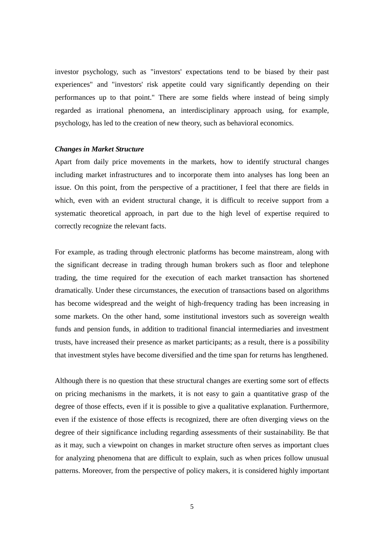investor psychology, such as "investors' expectations tend to be biased by their past experiences" and "investors' risk appetite could vary significantly depending on their performances up to that point." There are some fields where instead of being simply regarded as irrational phenomena, an interdisciplinary approach using, for example, psychology, has led to the creation of new theory, such as behavioral economics.

#### *Changes in Market Structure*

Apart from daily price movements in the markets, how to identify structural changes including market infrastructures and to incorporate them into analyses has long been an issue. On this point, from the perspective of a practitioner, I feel that there are fields in which, even with an evident structural change, it is difficult to receive support from a systematic theoretical approach, in part due to the high level of expertise required to correctly recognize the relevant facts.

For example, as trading through electronic platforms has become mainstream, along with the significant decrease in trading through human brokers such as floor and telephone trading, the time required for the execution of each market transaction has shortened dramatically. Under these circumstances, the execution of transactions based on algorithms has become widespread and the weight of high-frequency trading has been increasing in some markets. On the other hand, some institutional investors such as sovereign wealth funds and pension funds, in addition to traditional financial intermediaries and investment trusts, have increased their presence as market participants; as a result, there is a possibility that investment styles have become diversified and the time span for returns has lengthened.

Although there is no question that these structural changes are exerting some sort of effects on pricing mechanisms in the markets, it is not easy to gain a quantitative grasp of the degree of those effects, even if it is possible to give a qualitative explanation. Furthermore, even if the existence of those effects is recognized, there are often diverging views on the degree of their significance including regarding assessments of their sustainability. Be that as it may, such a viewpoint on changes in market structure often serves as important clues for analyzing phenomena that are difficult to explain, such as when prices follow unusual patterns. Moreover, from the perspective of policy makers, it is considered highly important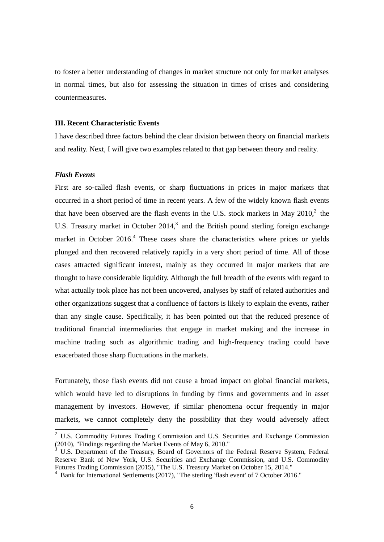to foster a better understanding of changes in market structure not only for market analyses in normal times, but also for assessing the situation in times of crises and considering countermeasures.

## **III. Recent Characteristic Events**

I have described three factors behind the clear division between theory on financial markets and reality. Next, I will give two examples related to that gap between theory and reality.

## *Flash Events*

-

First are so-called flash events, or sharp fluctuations in prices in major markets that occurred in a short period of time in recent years. A few of the widely known flash events that have been observed are the flash events in the U.S. stock markets in May  $2010<sup>2</sup>$ , the U.S. Treasury market in October 2014, $3$  and the British pound sterling foreign exchange market in October 2016.<sup>4</sup> These cases share the characteristics where prices or yields plunged and then recovered relatively rapidly in a very short period of time. All of those cases attracted significant interest, mainly as they occurred in major markets that are thought to have considerable liquidity. Although the full breadth of the events with regard to what actually took place has not been uncovered, analyses by staff of related authorities and other organizations suggest that a confluence of factors is likely to explain the events, rather than any single cause. Specifically, it has been pointed out that the reduced presence of traditional financial intermediaries that engage in market making and the increase in machine trading such as algorithmic trading and high-frequency trading could have exacerbated those sharp fluctuations in the markets.

Fortunately, those flash events did not cause a broad impact on global financial markets, which would have led to disruptions in funding by firms and governments and in asset management by investors. However, if similar phenomena occur frequently in major markets, we cannot completely deny the possibility that they would adversely affect

<sup>&</sup>lt;sup>2</sup> U.S. Commodity Futures Trading Commission and U.S. Securities and Exchange Commission (2010), "Findings regarding the Market Events of May 6, 2010."

<sup>3</sup> U.S. Department of the Treasury, Board of Governors of the Federal Reserve System, Federal Reserve Bank of New York, U.S. Securities and Exchange Commission, and U.S. Commodity Futures Trading Commission (2015), "The U.S. Treasury Market on October 15, 2014."

<sup>4</sup> Bank for International Settlements (2017), "The sterling 'flash event' of 7 October 2016."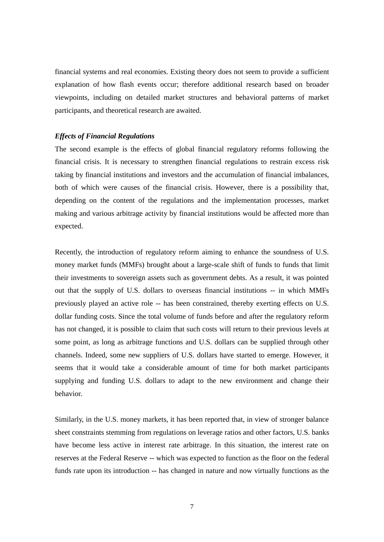financial systems and real economies. Existing theory does not seem to provide a sufficient explanation of how flash events occur; therefore additional research based on broader viewpoints, including on detailed market structures and behavioral patterns of market participants, and theoretical research are awaited.

#### *Effects of Financial Regulations*

The second example is the effects of global financial regulatory reforms following the financial crisis. It is necessary to strengthen financial regulations to restrain excess risk taking by financial institutions and investors and the accumulation of financial imbalances, both of which were causes of the financial crisis. However, there is a possibility that, depending on the content of the regulations and the implementation processes, market making and various arbitrage activity by financial institutions would be affected more than expected.

Recently, the introduction of regulatory reform aiming to enhance the soundness of U.S. money market funds (MMFs) brought about a large-scale shift of funds to funds that limit their investments to sovereign assets such as government debts. As a result, it was pointed out that the supply of U.S. dollars to overseas financial institutions -- in which MMFs previously played an active role -- has been constrained, thereby exerting effects on U.S. dollar funding costs. Since the total volume of funds before and after the regulatory reform has not changed, it is possible to claim that such costs will return to their previous levels at some point, as long as arbitrage functions and U.S. dollars can be supplied through other channels. Indeed, some new suppliers of U.S. dollars have started to emerge. However, it seems that it would take a considerable amount of time for both market participants supplying and funding U.S. dollars to adapt to the new environment and change their behavior.

Similarly, in the U.S. money markets, it has been reported that, in view of stronger balance sheet constraints stemming from regulations on leverage ratios and other factors, U.S. banks have become less active in interest rate arbitrage. In this situation, the interest rate on reserves at the Federal Reserve -- which was expected to function as the floor on the federal funds rate upon its introduction -- has changed in nature and now virtually functions as the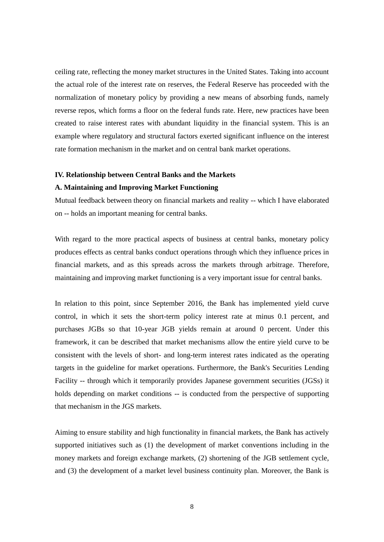ceiling rate, reflecting the money market structures in the United States. Taking into account the actual role of the interest rate on reserves, the Federal Reserve has proceeded with the normalization of monetary policy by providing a new means of absorbing funds, namely reverse repos, which forms a floor on the federal funds rate. Here, new practices have been created to raise interest rates with abundant liquidity in the financial system. This is an example where regulatory and structural factors exerted significant influence on the interest rate formation mechanism in the market and on central bank market operations.

## **IV. Relationship between Central Banks and the Markets**

## **A. Maintaining and Improving Market Functioning**

Mutual feedback between theory on financial markets and reality -- which I have elaborated on -- holds an important meaning for central banks.

With regard to the more practical aspects of business at central banks, monetary policy produces effects as central banks conduct operations through which they influence prices in financial markets, and as this spreads across the markets through arbitrage. Therefore, maintaining and improving market functioning is a very important issue for central banks.

In relation to this point, since September 2016, the Bank has implemented yield curve control, in which it sets the short-term policy interest rate at minus 0.1 percent, and purchases JGBs so that 10-year JGB yields remain at around 0 percent. Under this framework, it can be described that market mechanisms allow the entire yield curve to be consistent with the levels of short- and long-term interest rates indicated as the operating targets in the guideline for market operations. Furthermore, the Bank's Securities Lending Facility -- through which it temporarily provides Japanese government securities (JGSs) it holds depending on market conditions -- is conducted from the perspective of supporting that mechanism in the JGS markets.

Aiming to ensure stability and high functionality in financial markets, the Bank has actively supported initiatives such as (1) the development of market conventions including in the money markets and foreign exchange markets, (2) shortening of the JGB settlement cycle, and (3) the development of a market level business continuity plan. Moreover, the Bank is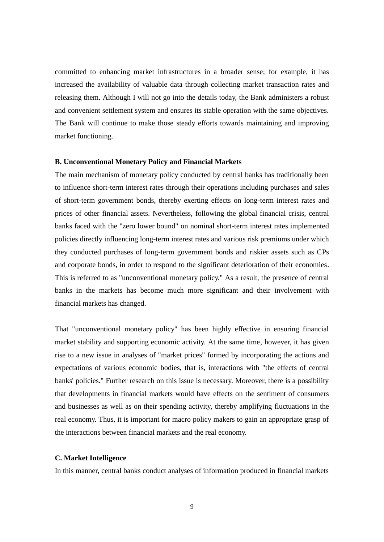committed to enhancing market infrastructures in a broader sense; for example, it has increased the availability of valuable data through collecting market transaction rates and releasing them. Although I will not go into the details today, the Bank administers a robust and convenient settlement system and ensures its stable operation with the same objectives. The Bank will continue to make those steady efforts towards maintaining and improving market functioning.

## **B. Unconventional Monetary Policy and Financial Markets**

The main mechanism of monetary policy conducted by central banks has traditionally been to influence short-term interest rates through their operations including purchases and sales of short-term government bonds, thereby exerting effects on long-term interest rates and prices of other financial assets. Nevertheless, following the global financial crisis, central banks faced with the "zero lower bound" on nominal short-term interest rates implemented policies directly influencing long-term interest rates and various risk premiums under which they conducted purchases of long-term government bonds and riskier assets such as CPs and corporate bonds, in order to respond to the significant deterioration of their economies. This is referred to as "unconventional monetary policy." As a result, the presence of central banks in the markets has become much more significant and their involvement with financial markets has changed.

That "unconventional monetary policy" has been highly effective in ensuring financial market stability and supporting economic activity. At the same time, however, it has given rise to a new issue in analyses of "market prices" formed by incorporating the actions and expectations of various economic bodies, that is, interactions with "the effects of central banks' policies." Further research on this issue is necessary. Moreover, there is a possibility that developments in financial markets would have effects on the sentiment of consumers and businesses as well as on their spending activity, thereby amplifying fluctuations in the real economy. Thus, it is important for macro policy makers to gain an appropriate grasp of the interactions between financial markets and the real economy.

## **C. Market Intelligence**

In this manner, central banks conduct analyses of information produced in financial markets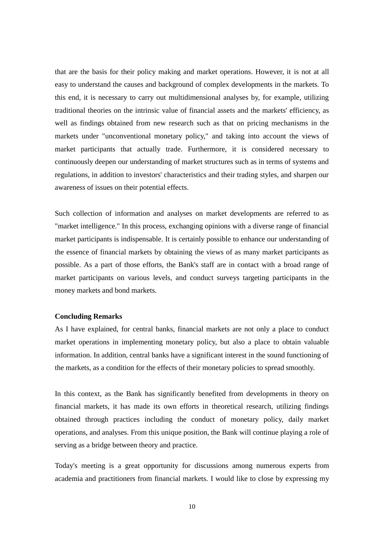that are the basis for their policy making and market operations. However, it is not at all easy to understand the causes and background of complex developments in the markets. To this end, it is necessary to carry out multidimensional analyses by, for example, utilizing traditional theories on the intrinsic value of financial assets and the markets' efficiency, as well as findings obtained from new research such as that on pricing mechanisms in the markets under "unconventional monetary policy," and taking into account the views of market participants that actually trade. Furthermore, it is considered necessary to continuously deepen our understanding of market structures such as in terms of systems and regulations, in addition to investors' characteristics and their trading styles, and sharpen our awareness of issues on their potential effects.

Such collection of information and analyses on market developments are referred to as "market intelligence." In this process, exchanging opinions with a diverse range of financial market participants is indispensable. It is certainly possible to enhance our understanding of the essence of financial markets by obtaining the views of as many market participants as possible. As a part of those efforts, the Bank's staff are in contact with a broad range of market participants on various levels, and conduct surveys targeting participants in the money markets and bond markets.

## **Concluding Remarks**

As I have explained, for central banks, financial markets are not only a place to conduct market operations in implementing monetary policy, but also a place to obtain valuable information. In addition, central banks have a significant interest in the sound functioning of the markets, as a condition for the effects of their monetary policies to spread smoothly.

In this context, as the Bank has significantly benefited from developments in theory on financial markets, it has made its own efforts in theoretical research, utilizing findings obtained through practices including the conduct of monetary policy, daily market operations, and analyses. From this unique position, the Bank will continue playing a role of serving as a bridge between theory and practice.

Today's meeting is a great opportunity for discussions among numerous experts from academia and practitioners from financial markets. I would like to close by expressing my